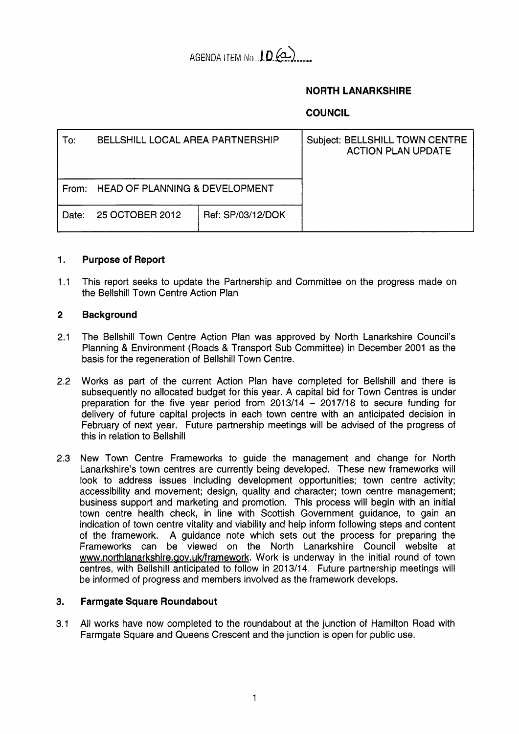

# **NORTH LANARKSHIRE**

# **COUNCIL**

| To:   | BELLSHILL LOCAL AREA PARTNERSHIP |                   | Subject: BELLSHILL TOWN CENTRE<br><b>ACTION PLAN UPDATE</b> |
|-------|----------------------------------|-------------------|-------------------------------------------------------------|
| From: | HEAD OF PLANNING & DEVELOPMENT   |                   |                                                             |
| Date: | 25 OCTOBER 2012                  | Ref: SP/03/12/DOK |                                                             |

#### **1. Purpose of Report**

1.1 This report seeks to update the Partnership and Committee on the progress made on the Bellshill Town Centre Action Plan

#### **2 Background**

- 2.1 The Bellshill Town Centre Action Plan was approved by North Lanarkshire Council's Planning & Environment (Roads & Transport Sub Committee) in December 2001 as the basis for the regeneration of Bellshill Town Centre.
- 2.2 Works as part of the current Action Plan have completed for Bellshill and there is subsequently no allocated budget for this year. A capital bid for Town Centres is under preparation for the five year period from  $2013/14 - 2017/18$  to secure funding for delivery of future capital projects in each town centre with an anticipated decision in February of next year. Future partnership meetings will be advised of the progress of this in relation to Bellshill
- 2.3 New Town Centre Frameworks to guide the management and change for North Lanarkshire's town centres are currently being developed. These new frameworks will look to address issues including development opportunities; town centre activity; accessibility and movement; design, quality and character; town centre management; business support and marketing and promotion. This process will begin with an initial town centre health check, in line with Scottish Government guidance, to gain an indication of town centre vitality and viability and help inform following steps and content of the framework. A guidance note which sets out the process for preparing the Frameworks can be viewed on the North Lanarkshire Council website at www.northlanarkshire.gov.uk/framework. Work is underway in the initial round of town centres, with Bellshill anticipated to follow in 2013/14. Future partnership meetings will be informed of progress and members involved as the framework develops.

## **3. Farmgate Square Roundabout**

3.1 All works have now completed to the roundabout at the junction of Hamilton Road with Farmgate Square and Queens Crescent and the junction is open for public use.